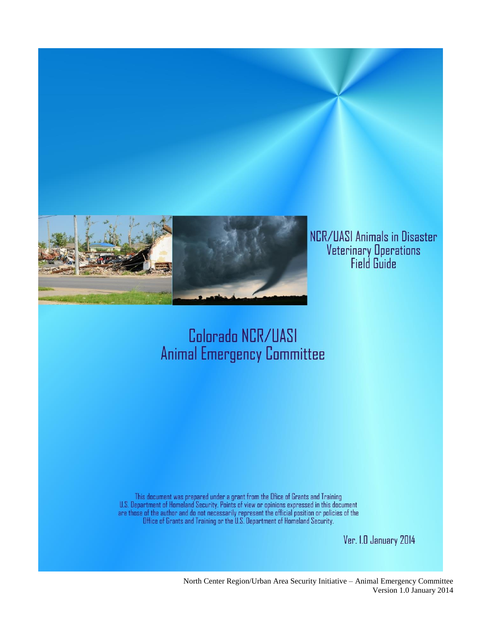

# Colorado NCR/UASI **Animal Emergency Committee**

This document was prepared under a grant from the Ofice of Grants and Training<br>U.S. Department of Homeland Security. Points of view or opinions expressed in this document<br>are those of the author and do not necessarily repr

Ver. I.D January 2014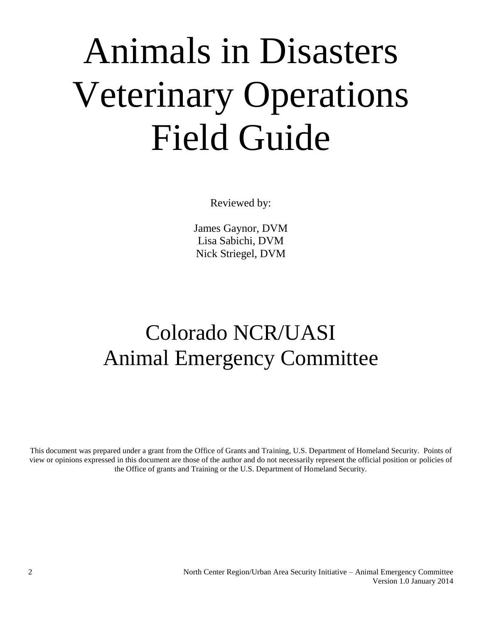# Animals in Disasters Veterinary Operations Field Guide

Reviewed by:

James Gaynor, DVM Lisa Sabichi, DVM Nick Striegel, DVM

# Colorado NCR/UASI Animal Emergency Committee

This document was prepared under a grant from the Office of Grants and Training, U.S. Department of Homeland Security. Points of view or opinions expressed in this document are those of the author and do not necessarily represent the official position or policies of the Office of grants and Training or the U.S. Department of Homeland Security.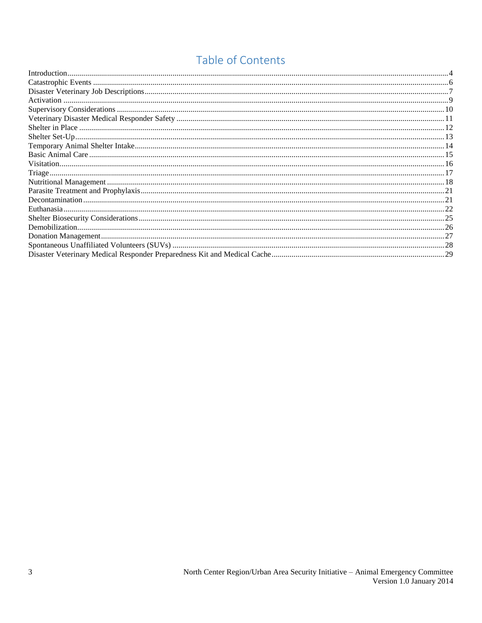## Table of Contents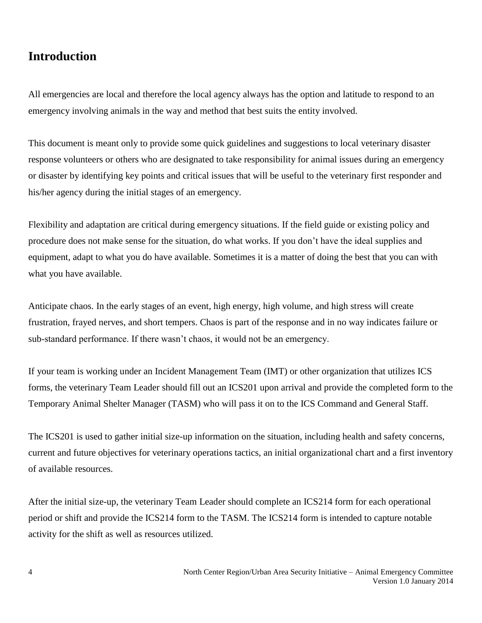## <span id="page-3-0"></span>**Introduction**

All emergencies are local and therefore the local agency always has the option and latitude to respond to an emergency involving animals in the way and method that best suits the entity involved.

This document is meant only to provide some quick guidelines and suggestions to local veterinary disaster response volunteers or others who are designated to take responsibility for animal issues during an emergency or disaster by identifying key points and critical issues that will be useful to the veterinary first responder and his/her agency during the initial stages of an emergency.

Flexibility and adaptation are critical during emergency situations. If the field guide or existing policy and procedure does not make sense for the situation, do what works. If you don't have the ideal supplies and equipment, adapt to what you do have available. Sometimes it is a matter of doing the best that you can with what you have available.

Anticipate chaos. In the early stages of an event, high energy, high volume, and high stress will create frustration, frayed nerves, and short tempers. Chaos is part of the response and in no way indicates failure or sub-standard performance. If there wasn't chaos, it would not be an emergency.

If your team is working under an Incident Management Team (IMT) or other organization that utilizes ICS forms, the veterinary Team Leader should fill out an ICS201 upon arrival and provide the completed form to the Temporary Animal Shelter Manager (TASM) who will pass it on to the ICS Command and General Staff.

The ICS201 is used to gather initial size-up information on the situation, including health and safety concerns, current and future objectives for veterinary operations tactics, an initial organizational chart and a first inventory of available resources.

After the initial size-up, the veterinary Team Leader should complete an ICS214 form for each operational period or shift and provide the ICS214 form to the TASM. The ICS214 form is intended to capture notable activity for the shift as well as resources utilized.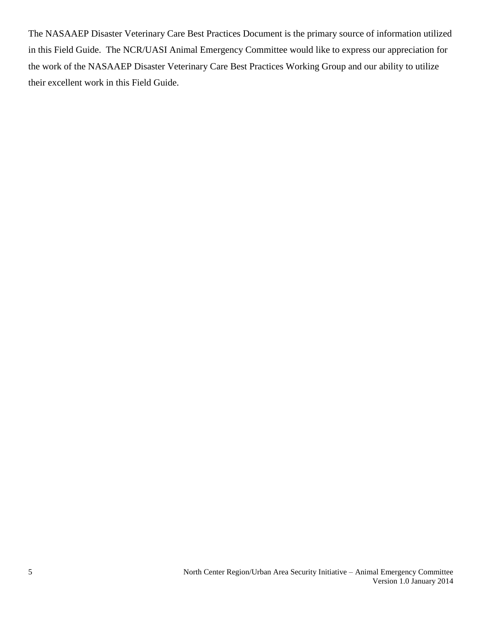The NASAAEP Disaster Veterinary Care Best Practices Document is the primary source of information utilized in this Field Guide. The NCR/UASI Animal Emergency Committee would like to express our appreciation for the work of the NASAAEP Disaster Veterinary Care Best Practices Working Group and our ability to utilize their excellent work in this Field Guide.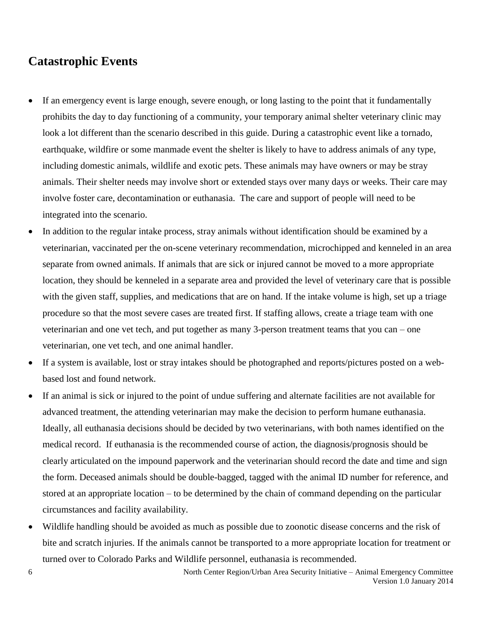## <span id="page-5-0"></span>**Catastrophic Events**

- If an emergency event is large enough, severe enough, or long lasting to the point that it fundamentally prohibits the day to day functioning of a community, your temporary animal shelter veterinary clinic may look a lot different than the scenario described in this guide. During a catastrophic event like a tornado, earthquake, wildfire or some manmade event the shelter is likely to have to address animals of any type, including domestic animals, wildlife and exotic pets. These animals may have owners or may be stray animals. Their shelter needs may involve short or extended stays over many days or weeks. Their care may involve foster care, decontamination or euthanasia. The care and support of people will need to be integrated into the scenario.
- In addition to the regular intake process, stray animals without identification should be examined by a veterinarian, vaccinated per the on-scene veterinary recommendation, microchipped and kenneled in an area separate from owned animals. If animals that are sick or injured cannot be moved to a more appropriate location, they should be kenneled in a separate area and provided the level of veterinary care that is possible with the given staff, supplies, and medications that are on hand. If the intake volume is high, set up a triage procedure so that the most severe cases are treated first. If staffing allows, create a triage team with one veterinarian and one vet tech, and put together as many 3-person treatment teams that you can – one veterinarian, one vet tech, and one animal handler.
- If a system is available, lost or stray intakes should be photographed and reports/pictures posted on a webbased lost and found network.
- If an animal is sick or injured to the point of undue suffering and alternate facilities are not available for advanced treatment, the attending veterinarian may make the decision to perform humane euthanasia. Ideally, all euthanasia decisions should be decided by two veterinarians, with both names identified on the medical record. If euthanasia is the recommended course of action, the diagnosis/prognosis should be clearly articulated on the impound paperwork and the veterinarian should record the date and time and sign the form. Deceased animals should be double-bagged, tagged with the animal ID number for reference, and stored at an appropriate location – to be determined by the chain of command depending on the particular circumstances and facility availability.
- Wildlife handling should be avoided as much as possible due to zoonotic disease concerns and the risk of bite and scratch injuries. If the animals cannot be transported to a more appropriate location for treatment or turned over to Colorado Parks and Wildlife personnel, euthanasia is recommended.

6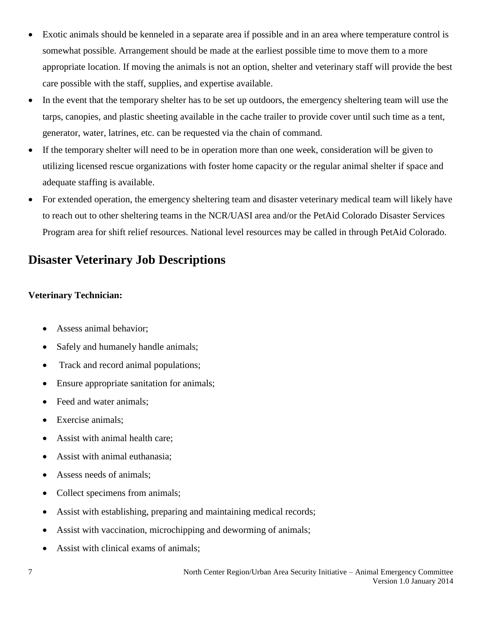- Exotic animals should be kenneled in a separate area if possible and in an area where temperature control is somewhat possible. Arrangement should be made at the earliest possible time to move them to a more appropriate location. If moving the animals is not an option, shelter and veterinary staff will provide the best care possible with the staff, supplies, and expertise available.
- In the event that the temporary shelter has to be set up outdoors, the emergency sheltering team will use the tarps, canopies, and plastic sheeting available in the cache trailer to provide cover until such time as a tent, generator, water, latrines, etc. can be requested via the chain of command.
- If the temporary shelter will need to be in operation more than one week, consideration will be given to utilizing licensed rescue organizations with foster home capacity or the regular animal shelter if space and adequate staffing is available.
- For extended operation, the emergency sheltering team and disaster veterinary medical team will likely have to reach out to other sheltering teams in the NCR/UASI area and/or the PetAid Colorado Disaster Services Program area for shift relief resources. National level resources may be called in through PetAid Colorado.

## <span id="page-6-0"></span>**Disaster Veterinary Job Descriptions**

#### **Veterinary Technician:**

- Assess animal behavior;
- Safely and humanely handle animals;
- Track and record animal populations;
- Ensure appropriate sanitation for animals;
- Feed and water animals;
- Exercise animals;
- Assist with animal health care;
- Assist with animal euthanasia;
- Assess needs of animals;
- Collect specimens from animals;
- Assist with establishing, preparing and maintaining medical records;
- Assist with vaccination, microchipping and deworming of animals;
- Assist with clinical exams of animals;

7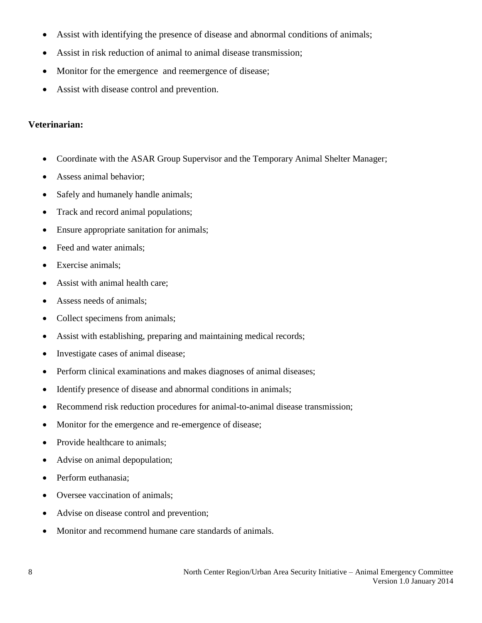- Assist with identifying the presence of disease and abnormal conditions of animals;
- Assist in risk reduction of animal to animal disease transmission;
- Monitor for the emergence and reemergence of disease;
- Assist with disease control and prevention.

#### **Veterinarian:**

- Coordinate with the ASAR Group Supervisor and the Temporary Animal Shelter Manager;
- Assess animal behavior;
- Safely and humanely handle animals;
- Track and record animal populations;
- Ensure appropriate sanitation for animals;
- Feed and water animals;
- Exercise animals;
- Assist with animal health care;
- Assess needs of animals;
- Collect specimens from animals;
- Assist with establishing, preparing and maintaining medical records;
- Investigate cases of animal disease;
- Perform clinical examinations and makes diagnoses of animal diseases;
- Identify presence of disease and abnormal conditions in animals;
- Recommend risk reduction procedures for animal-to-animal disease transmission;
- Monitor for the emergence and re-emergence of disease;
- Provide healthcare to animals:
- Advise on animal depopulation;
- Perform euthanasia;
- Oversee vaccination of animals;
- Advise on disease control and prevention;
- Monitor and recommend humane care standards of animals.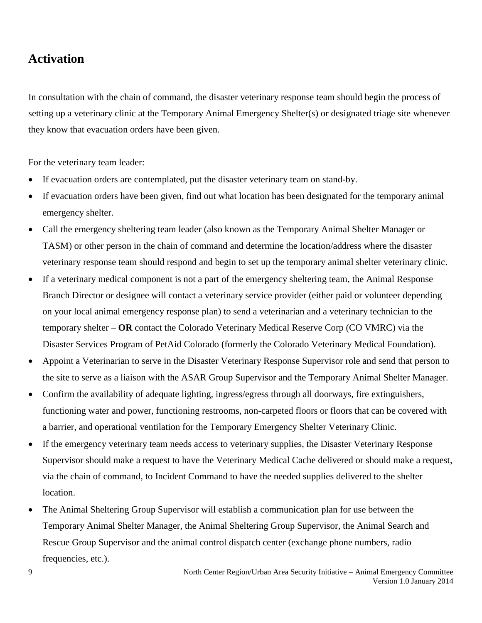## <span id="page-8-0"></span>**Activation**

In consultation with the chain of command, the disaster veterinary response team should begin the process of setting up a veterinary clinic at the Temporary Animal Emergency Shelter(s) or designated triage site whenever they know that evacuation orders have been given.

For the veterinary team leader:

- If evacuation orders are contemplated, put the disaster veterinary team on stand-by.
- If evacuation orders have been given, find out what location has been designated for the temporary animal emergency shelter.
- Call the emergency sheltering team leader (also known as the Temporary Animal Shelter Manager or TASM) or other person in the chain of command and determine the location/address where the disaster veterinary response team should respond and begin to set up the temporary animal shelter veterinary clinic.
- If a veterinary medical component is not a part of the emergency sheltering team, the Animal Response Branch Director or designee will contact a veterinary service provider (either paid or volunteer depending on your local animal emergency response plan) to send a veterinarian and a veterinary technician to the temporary shelter – **OR** contact the Colorado Veterinary Medical Reserve Corp (CO VMRC) via the Disaster Services Program of PetAid Colorado (formerly the Colorado Veterinary Medical Foundation).
- Appoint a Veterinarian to serve in the Disaster Veterinary Response Supervisor role and send that person to the site to serve as a liaison with the ASAR Group Supervisor and the Temporary Animal Shelter Manager.
- Confirm the availability of adequate lighting, ingress/egress through all doorways, fire extinguishers, functioning water and power, functioning restrooms, non-carpeted floors or floors that can be covered with a barrier, and operational ventilation for the Temporary Emergency Shelter Veterinary Clinic.
- If the emergency veterinary team needs access to veterinary supplies, the Disaster Veterinary Response Supervisor should make a request to have the Veterinary Medical Cache delivered or should make a request, via the chain of command, to Incident Command to have the needed supplies delivered to the shelter location.
- The Animal Sheltering Group Supervisor will establish a communication plan for use between the Temporary Animal Shelter Manager, the Animal Sheltering Group Supervisor, the Animal Search and Rescue Group Supervisor and the animal control dispatch center (exchange phone numbers, radio frequencies, etc.).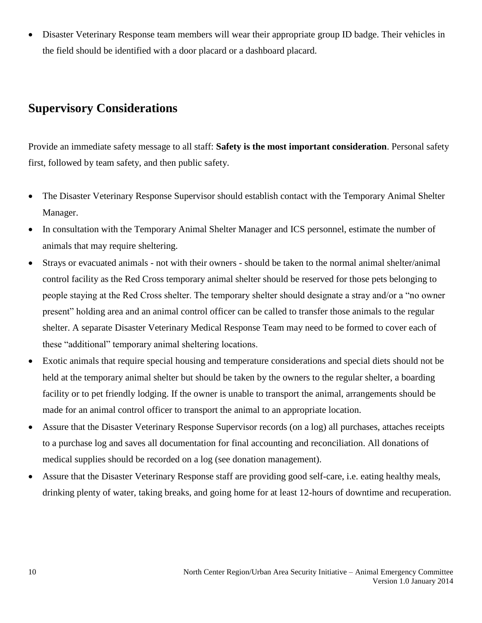Disaster Veterinary Response team members will wear their appropriate group ID badge. Their vehicles in the field should be identified with a door placard or a dashboard placard.

## <span id="page-9-0"></span>**Supervisory Considerations**

Provide an immediate safety message to all staff: **Safety is the most important consideration**. Personal safety first, followed by team safety, and then public safety.

- The Disaster Veterinary Response Supervisor should establish contact with the Temporary Animal Shelter Manager.
- In consultation with the Temporary Animal Shelter Manager and ICS personnel, estimate the number of animals that may require sheltering.
- Strays or evacuated animals not with their owners should be taken to the normal animal shelter/animal control facility as the Red Cross temporary animal shelter should be reserved for those pets belonging to people staying at the Red Cross shelter. The temporary shelter should designate a stray and/or a "no owner present" holding area and an animal control officer can be called to transfer those animals to the regular shelter. A separate Disaster Veterinary Medical Response Team may need to be formed to cover each of these "additional" temporary animal sheltering locations.
- Exotic animals that require special housing and temperature considerations and special diets should not be held at the temporary animal shelter but should be taken by the owners to the regular shelter, a boarding facility or to pet friendly lodging. If the owner is unable to transport the animal, arrangements should be made for an animal control officer to transport the animal to an appropriate location.
- Assure that the Disaster Veterinary Response Supervisor records (on a log) all purchases, attaches receipts to a purchase log and saves all documentation for final accounting and reconciliation. All donations of medical supplies should be recorded on a log (see donation management).
- Assure that the Disaster Veterinary Response staff are providing good self-care, i.e. eating healthy meals, drinking plenty of water, taking breaks, and going home for at least 12-hours of downtime and recuperation.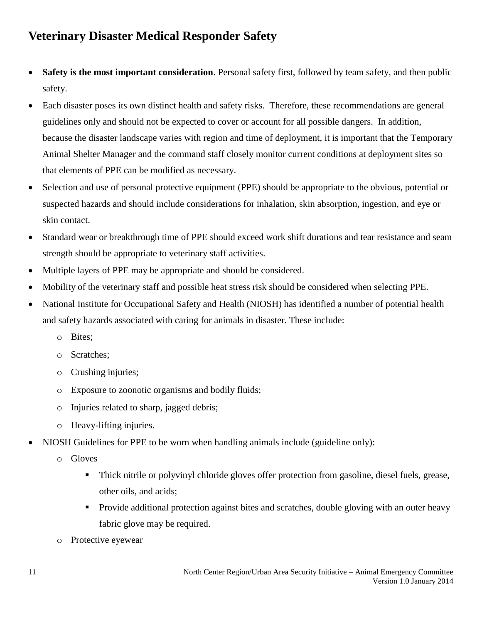## <span id="page-10-0"></span>**Veterinary Disaster Medical Responder Safety**

- **Safety is the most important consideration**. Personal safety first, followed by team safety, and then public safety.
- Each disaster poses its own distinct health and safety risks. Therefore, these recommendations are general guidelines only and should not be expected to cover or account for all possible dangers. In addition, because the disaster landscape varies with region and time of deployment, it is important that the Temporary Animal Shelter Manager and the command staff closely monitor current conditions at deployment sites so that elements of PPE can be modified as necessary.
- Selection and use of personal protective equipment (PPE) should be appropriate to the obvious, potential or suspected hazards and should include considerations for inhalation, skin absorption, ingestion, and eye or skin contact.
- Standard wear or breakthrough time of PPE should exceed work shift durations and tear resistance and seam strength should be appropriate to veterinary staff activities.
- Multiple layers of PPE may be appropriate and should be considered.
- Mobility of the veterinary staff and possible heat stress risk should be considered when selecting PPE.
- National Institute for Occupational Safety and Health (NIOSH) has identified a number of potential health and safety hazards associated with caring for animals in disaster. These include:
	- o Bites;
	- o Scratches;
	- o Crushing injuries;
	- o Exposure to zoonotic organisms and bodily fluids;
	- o Injuries related to sharp, jagged debris;
	- o Heavy-lifting injuries.
- NIOSH Guidelines for PPE to be worn when handling animals include (guideline only):
	- o Gloves
		- Thick nitrile or polyvinyl chloride gloves offer protection from gasoline, diesel fuels, grease, other oils, and acids;
		- **Provide additional protection against bites and scratches, double gloving with an outer heavy** fabric glove may be required.
	- o Protective eyewear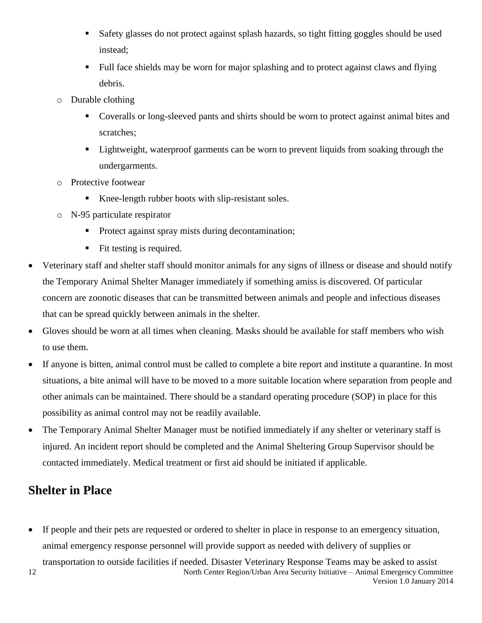- Safety glasses do not protect against splash hazards, so tight fitting goggles should be used instead;
- Full face shields may be worn for major splashing and to protect against claws and flying debris.
- o Durable clothing
	- Coveralls or long-sleeved pants and shirts should be worn to protect against animal bites and scratches;
	- Lightweight, waterproof garments can be worn to prevent liquids from soaking through the undergarments.
- o Protective footwear
	- Knee-length rubber boots with slip-resistant soles.
- o N-95 particulate respirator
	- **Protect against spray mists during decontamination;**
	- $\blacksquare$  Fit testing is required.
- Veterinary staff and shelter staff should monitor animals for any signs of illness or disease and should notify the Temporary Animal Shelter Manager immediately if something amiss is discovered. Of particular concern are zoonotic diseases that can be transmitted between animals and people and infectious diseases that can be spread quickly between animals in the shelter.
- Gloves should be worn at all times when cleaning. Masks should be available for staff members who wish to use them.
- If anyone is bitten, animal control must be called to complete a bite report and institute a quarantine. In most situations, a bite animal will have to be moved to a more suitable location where separation from people and other animals can be maintained. There should be a standard operating procedure (SOP) in place for this possibility as animal control may not be readily available.
- The Temporary Animal Shelter Manager must be notified immediately if any shelter or veterinary staff is injured. An incident report should be completed and the Animal Sheltering Group Supervisor should be contacted immediately. Medical treatment or first aid should be initiated if applicable.

## <span id="page-11-0"></span>**Shelter in Place**

- If people and their pets are requested or ordered to shelter in place in response to an emergency situation, animal emergency response personnel will provide support as needed with delivery of supplies or
- North Center Region/Urban Area Security Initiative Animal Emergency Committee Version 1.0 January 2014 12 transportation to outside facilities if needed. Disaster Veterinary Response Teams may be asked to assist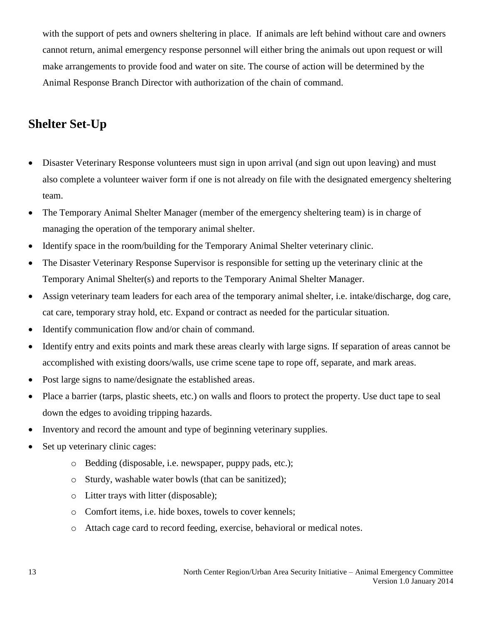with the support of pets and owners sheltering in place. If animals are left behind without care and owners cannot return, animal emergency response personnel will either bring the animals out upon request or will make arrangements to provide food and water on site. The course of action will be determined by the Animal Response Branch Director with authorization of the chain of command.

## <span id="page-12-0"></span>**Shelter Set-Up**

- Disaster Veterinary Response volunteers must sign in upon arrival (and sign out upon leaving) and must also complete a volunteer waiver form if one is not already on file with the designated emergency sheltering team.
- The Temporary Animal Shelter Manager (member of the emergency sheltering team) is in charge of managing the operation of the temporary animal shelter.
- Identify space in the room/building for the Temporary Animal Shelter veterinary clinic.
- The Disaster Veterinary Response Supervisor is responsible for setting up the veterinary clinic at the Temporary Animal Shelter(s) and reports to the Temporary Animal Shelter Manager.
- Assign veterinary team leaders for each area of the temporary animal shelter, i.e. intake/discharge, dog care, cat care, temporary stray hold, etc. Expand or contract as needed for the particular situation.
- Identify communication flow and/or chain of command.
- Identify entry and exits points and mark these areas clearly with large signs. If separation of areas cannot be accomplished with existing doors/walls, use crime scene tape to rope off, separate, and mark areas.
- Post large signs to name/designate the established areas.
- Place a barrier (tarps, plastic sheets, etc.) on walls and floors to protect the property. Use duct tape to seal down the edges to avoiding tripping hazards.
- Inventory and record the amount and type of beginning veterinary supplies.
- Set up veterinary clinic cages:
	- o Bedding (disposable, i.e. newspaper, puppy pads, etc.);
	- o Sturdy, washable water bowls (that can be sanitized);
	- o Litter trays with litter (disposable);
	- o Comfort items, i.e. hide boxes, towels to cover kennels;
	- o Attach cage card to record feeding, exercise, behavioral or medical notes.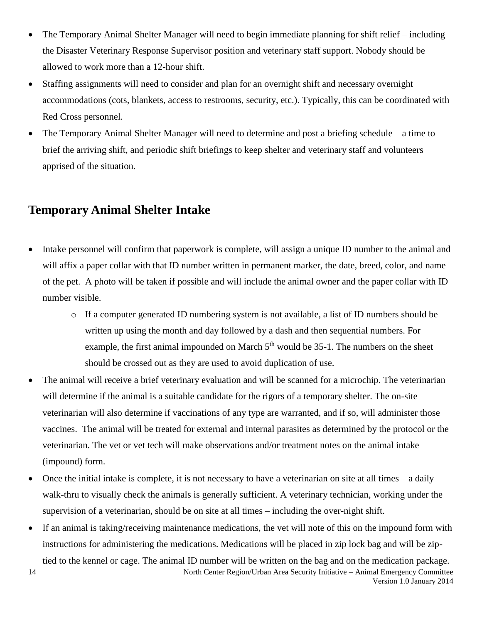- The Temporary Animal Shelter Manager will need to begin immediate planning for shift relief including the Disaster Veterinary Response Supervisor position and veterinary staff support. Nobody should be allowed to work more than a 12-hour shift.
- Staffing assignments will need to consider and plan for an overnight shift and necessary overnight accommodations (cots, blankets, access to restrooms, security, etc.). Typically, this can be coordinated with Red Cross personnel.
- The Temporary Animal Shelter Manager will need to determine and post a briefing schedule a time to brief the arriving shift, and periodic shift briefings to keep shelter and veterinary staff and volunteers apprised of the situation.

## <span id="page-13-0"></span>**Temporary Animal Shelter Intake**

- Intake personnel will confirm that paperwork is complete, will assign a unique ID number to the animal and will affix a paper collar with that ID number written in permanent marker, the date, breed, color, and name of the pet. A photo will be taken if possible and will include the animal owner and the paper collar with ID number visible.
	- o If a computer generated ID numbering system is not available, a list of ID numbers should be written up using the month and day followed by a dash and then sequential numbers. For example, the first animal impounded on March  $5<sup>th</sup>$  would be 35-1. The numbers on the sheet should be crossed out as they are used to avoid duplication of use.
- The animal will receive a brief veterinary evaluation and will be scanned for a microchip. The veterinarian will determine if the animal is a suitable candidate for the rigors of a temporary shelter. The on-site veterinarian will also determine if vaccinations of any type are warranted, and if so, will administer those vaccines. The animal will be treated for external and internal parasites as determined by the protocol or the veterinarian. The vet or vet tech will make observations and/or treatment notes on the animal intake (impound) form.
- Once the initial intake is complete, it is not necessary to have a veterinarian on site at all times a daily walk-thru to visually check the animals is generally sufficient. A veterinary technician, working under the supervision of a veterinarian, should be on site at all times – including the over-night shift.
- If an animal is taking/receiving maintenance medications, the vet will note of this on the impound form with instructions for administering the medications. Medications will be placed in zip lock bag and will be ziptied to the kennel or cage. The animal ID number will be written on the bag and on the medication package.

14

North Center Region/Urban Area Security Initiative – Animal Emergency Committee Version 1.0 January 2014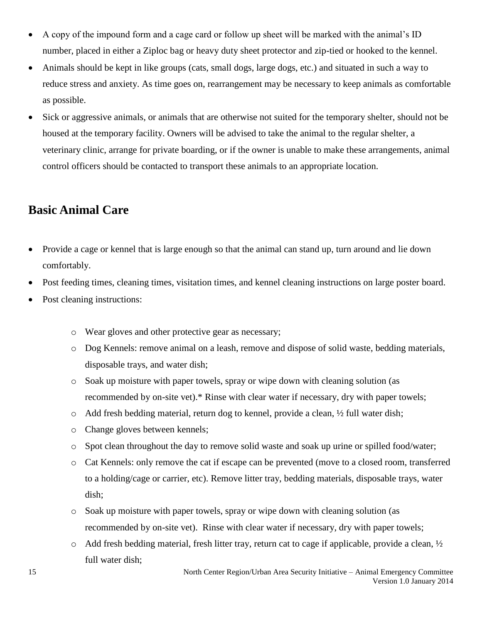- A copy of the impound form and a cage card or follow up sheet will be marked with the animal's ID number, placed in either a Ziploc bag or heavy duty sheet protector and zip-tied or hooked to the kennel.
- Animals should be kept in like groups (cats, small dogs, large dogs, etc.) and situated in such a way to reduce stress and anxiety. As time goes on, rearrangement may be necessary to keep animals as comfortable as possible.
- Sick or aggressive animals, or animals that are otherwise not suited for the temporary shelter, should not be housed at the temporary facility. Owners will be advised to take the animal to the regular shelter, a veterinary clinic, arrange for private boarding, or if the owner is unable to make these arrangements, animal control officers should be contacted to transport these animals to an appropriate location.

## <span id="page-14-0"></span>**Basic Animal Care**

- Provide a cage or kennel that is large enough so that the animal can stand up, turn around and lie down comfortably.
- Post feeding times, cleaning times, visitation times, and kennel cleaning instructions on large poster board.
- Post cleaning instructions:
	- o Wear gloves and other protective gear as necessary;
	- o Dog Kennels: remove animal on a leash, remove and dispose of solid waste, bedding materials, disposable trays, and water dish;
	- o Soak up moisture with paper towels, spray or wipe down with cleaning solution (as recommended by on-site vet).\* Rinse with clear water if necessary, dry with paper towels;
	- $\circ$  Add fresh bedding material, return dog to kennel, provide a clean,  $\frac{1}{2}$  full water dish;
	- o Change gloves between kennels;
	- o Spot clean throughout the day to remove solid waste and soak up urine or spilled food/water;
	- o Cat Kennels: only remove the cat if escape can be prevented (move to a closed room, transferred to a holding/cage or carrier, etc). Remove litter tray, bedding materials, disposable trays, water dish;
	- o Soak up moisture with paper towels, spray or wipe down with cleaning solution (as recommended by on-site vet). Rinse with clear water if necessary, dry with paper towels;
	- o Add fresh bedding material, fresh litter tray, return cat to cage if applicable, provide a clean, ½ full water dish;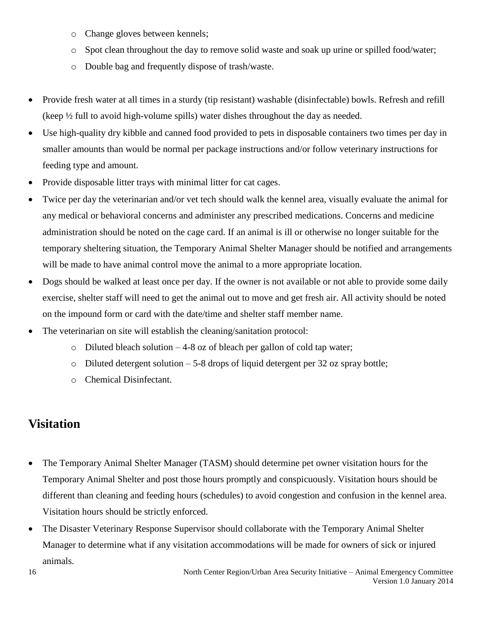- o Change gloves between kennels;
- o Spot clean throughout the day to remove solid waste and soak up urine or spilled food/water;
- o Double bag and frequently dispose of trash/waste.
- Provide fresh water at all times in a sturdy (tip resistant) washable (disinfectable) bowls. Refresh and refill (keep ½ full to avoid high-volume spills) water dishes throughout the day as needed.
- Use high-quality dry kibble and canned food provided to pets in disposable containers two times per day in smaller amounts than would be normal per package instructions and/or follow veterinary instructions for feeding type and amount.
- Provide disposable litter trays with minimal litter for cat cages.
- Twice per day the veterinarian and/or vet tech should walk the kennel area, visually evaluate the animal for any medical or behavioral concerns and administer any prescribed medications. Concerns and medicine administration should be noted on the cage card. If an animal is ill or otherwise no longer suitable for the temporary sheltering situation, the Temporary Animal Shelter Manager should be notified and arrangements will be made to have animal control move the animal to a more appropriate location.
- Dogs should be walked at least once per day. If the owner is not available or not able to provide some daily exercise, shelter staff will need to get the animal out to move and get fresh air. All activity should be noted on the impound form or card with the date/time and shelter staff member name.
- The veterinarian on site will establish the cleaning/sanitation protocol:
	- $\circ$  Diluted bleach solution  $-4-8$  oz of bleach per gallon of cold tap water;
	- $\circ$  Diluted detergent solution 5-8 drops of liquid detergent per 32 oz spray bottle;
	- o Chemical Disinfectant.

## <span id="page-15-0"></span>**Visitation**

- The Temporary Animal Shelter Manager (TASM) should determine pet owner visitation hours for the Temporary Animal Shelter and post those hours promptly and conspicuously. Visitation hours should be different than cleaning and feeding hours (schedules) to avoid congestion and confusion in the kennel area. Visitation hours should be strictly enforced.
- The Disaster Veterinary Response Supervisor should collaborate with the Temporary Animal Shelter Manager to determine what if any visitation accommodations will be made for owners of sick or injured animals.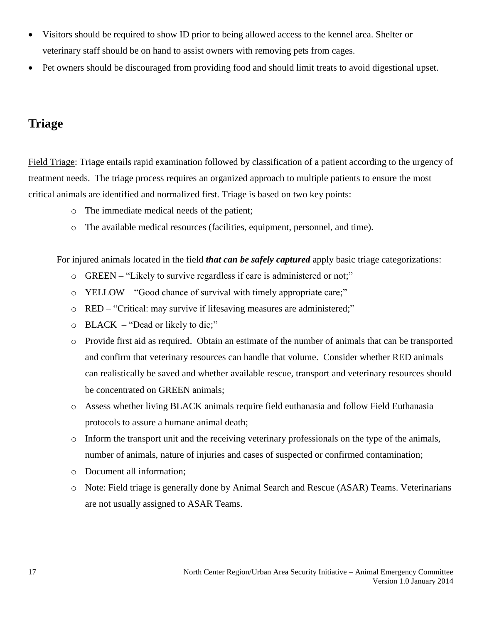- Visitors should be required to show ID prior to being allowed access to the kennel area. Shelter or veterinary staff should be on hand to assist owners with removing pets from cages.
- Pet owners should be discouraged from providing food and should limit treats to avoid digestional upset.

## <span id="page-16-0"></span>**Triage**

Field Triage: Triage entails rapid examination followed by classification of a patient according to the urgency of treatment needs. The triage process requires an organized approach to multiple patients to ensure the most critical animals are identified and normalized first. Triage is based on two key points:

- o The immediate medical needs of the patient;
- o The available medical resources (facilities, equipment, personnel, and time).

For injured animals located in the field *that can be safely captured* apply basic triage categorizations:

- o GREEN "Likely to survive regardless if care is administered or not;"
- o YELLOW "Good chance of survival with timely appropriate care;"
- o RED "Critical: may survive if lifesaving measures are administered;"
- o BLACK "Dead or likely to die;"
- o Provide first aid as required. Obtain an estimate of the number of animals that can be transported and confirm that veterinary resources can handle that volume. Consider whether RED animals can realistically be saved and whether available rescue, transport and veterinary resources should be concentrated on GREEN animals;
- o Assess whether living BLACK animals require field euthanasia and follow Field Euthanasia protocols to assure a humane animal death;
- o Inform the transport unit and the receiving veterinary professionals on the type of the animals, number of animals, nature of injuries and cases of suspected or confirmed contamination;
- o Document all information;
- o Note: Field triage is generally done by Animal Search and Rescue (ASAR) Teams. Veterinarians are not usually assigned to ASAR Teams.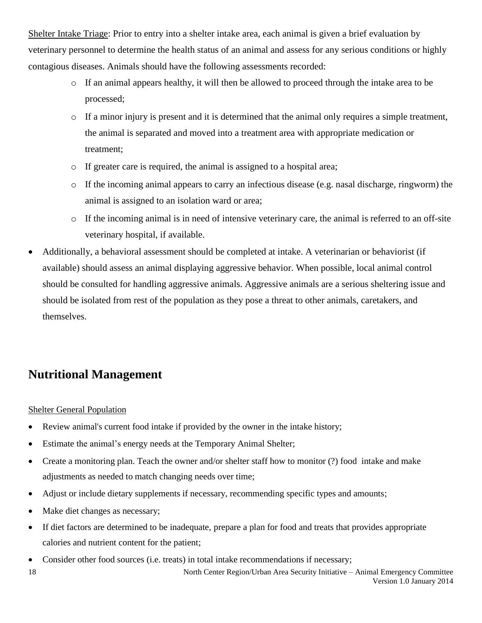Shelter Intake Triage: Prior to entry into a shelter intake area, each animal is given a brief evaluation by veterinary personnel to determine the health status of an animal and assess for any serious conditions or highly contagious diseases. Animals should have the following assessments recorded:

- o If an animal appears healthy, it will then be allowed to proceed through the intake area to be processed;
- o If a minor injury is present and it is determined that the animal only requires a simple treatment, the animal is separated and moved into a treatment area with appropriate medication or treatment;
- o If greater care is required, the animal is assigned to a hospital area;
- $\circ$  If the incoming animal appears to carry an infectious disease (e.g. nasal discharge, ringworm) the animal is assigned to an isolation ward or area;
- o If the incoming animal is in need of intensive veterinary care, the animal is referred to an off-site veterinary hospital, if available.
- Additionally, a behavioral assessment should be completed at intake. A veterinarian or behaviorist (if available) should assess an animal displaying aggressive behavior. When possible, local animal control should be consulted for handling aggressive animals. Aggressive animals are a serious sheltering issue and should be isolated from rest of the population as they pose a threat to other animals, caretakers, and themselves.

## <span id="page-17-0"></span>**Nutritional Management**

#### Shelter General Population

- Review animal's current food intake if provided by the owner in the intake history;
- Estimate the animal's energy needs at the Temporary Animal Shelter;
- Create a monitoring plan. Teach the owner and/or shelter staff how to monitor (?) food intake and make adjustments as needed to match changing needs over time;
- Adjust or include dietary supplements if necessary, recommending specific types and amounts;
- Make diet changes as necessary;
- If diet factors are determined to be inadequate, prepare a plan for food and treats that provides appropriate calories and nutrient content for the patient;
- Consider other food sources (i.e. treats) in total intake recommendations if necessary;

18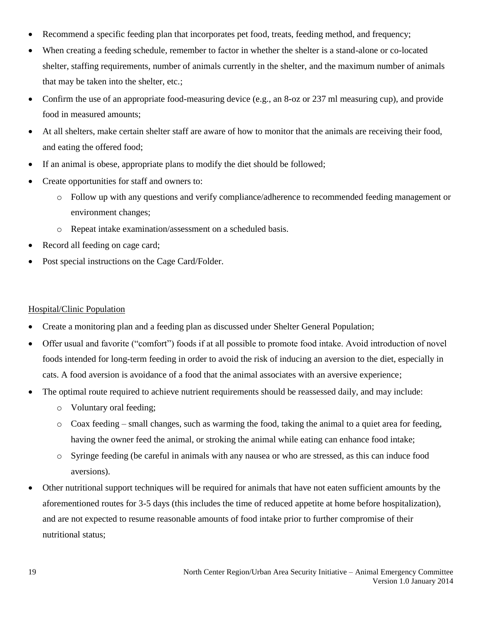- Recommend a specific feeding plan that incorporates pet food, treats, feeding method, and frequency;
- When creating a feeding schedule, remember to factor in whether the shelter is a stand-alone or co-located shelter, staffing requirements, number of animals currently in the shelter, and the maximum number of animals that may be taken into the shelter, etc.;
- Confirm the use of an appropriate food-measuring device (e.g., an 8-oz or 237 ml measuring cup), and provide food in measured amounts;
- At all shelters, make certain shelter staff are aware of how to monitor that the animals are receiving their food, and eating the offered food;
- If an animal is obese, appropriate plans to modify the diet should be followed;
- Create opportunities for staff and owners to:
	- o Follow up with any questions and verify compliance/adherence to recommended feeding management or environment changes;
	- o Repeat intake examination/assessment on a scheduled basis.
- Record all feeding on cage card;
- Post special instructions on the Cage Card/Folder.

#### Hospital/Clinic Population

- Create a monitoring plan and a feeding plan as discussed under Shelter General Population;
- Offer usual and favorite ("comfort") foods if at all possible to promote food intake. Avoid introduction of novel foods intended for long-term feeding in order to avoid the risk of inducing an aversion to the diet, especially in cats. A food aversion is avoidance of a food that the animal associates with an aversive experience;
- The optimal route required to achieve nutrient requirements should be reassessed daily, and may include:
	- o Voluntary oral feeding;
	- o Coax feeding small changes, such as warming the food, taking the animal to a quiet area for feeding, having the owner feed the animal, or stroking the animal while eating can enhance food intake;
	- o Syringe feeding (be careful in animals with any nausea or who are stressed, as this can induce food aversions).
- Other nutritional support techniques will be required for animals that have not eaten sufficient amounts by the aforementioned routes for 3-5 days (this includes the time of reduced appetite at home before hospitalization), and are not expected to resume reasonable amounts of food intake prior to further compromise of their nutritional status;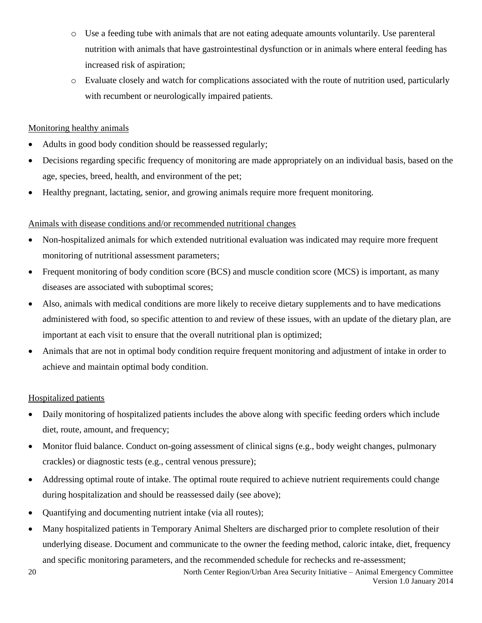- o Use a feeding tube with animals that are not eating adequate amounts voluntarily. Use parenteral nutrition with animals that have gastrointestinal dysfunction or in animals where enteral feeding has increased risk of aspiration;
- o Evaluate closely and watch for complications associated with the route of nutrition used, particularly with recumbent or neurologically impaired patients.

#### Monitoring healthy animals

- Adults in good body condition should be reassessed regularly;
- Decisions regarding specific frequency of monitoring are made appropriately on an individual basis, based on the age, species, breed, health, and environment of the pet;
- Healthy pregnant, lactating, senior, and growing animals require more frequent monitoring.

#### Animals with disease conditions and/or recommended nutritional changes

- Non-hospitalized animals for which extended nutritional evaluation was indicated may require more frequent monitoring of nutritional assessment parameters;
- Frequent monitoring of body condition score (BCS) and muscle condition score (MCS) is important, as many diseases are associated with suboptimal scores;
- Also, animals with medical conditions are more likely to receive dietary supplements and to have medications administered with food, so specific attention to and review of these issues, with an update of the dietary plan, are important at each visit to ensure that the overall nutritional plan is optimized;
- Animals that are not in optimal body condition require frequent monitoring and adjustment of intake in order to achieve and maintain optimal body condition.

#### Hospitalized patients

- Daily monitoring of hospitalized patients includes the above along with specific feeding orders which include diet, route, amount, and frequency;
- Monitor fluid balance. Conduct on-going assessment of clinical signs (e.g., body weight changes, pulmonary crackles) or diagnostic tests (e.g., central venous pressure);
- Addressing optimal route of intake. The optimal route required to achieve nutrient requirements could change during hospitalization and should be reassessed daily (see above);
- Quantifying and documenting nutrient intake (via all routes);
- Many hospitalized patients in Temporary Animal Shelters are discharged prior to complete resolution of their underlying disease. Document and communicate to the owner the feeding method, caloric intake, diet, frequency and specific monitoring parameters, and the recommended schedule for rechecks and re-assessment;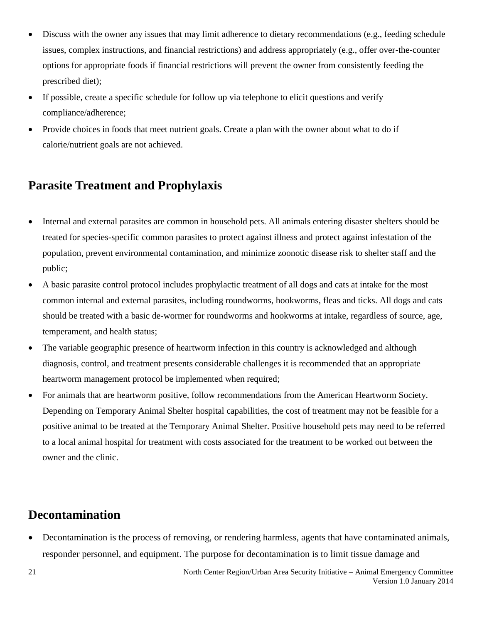- Discuss with the owner any issues that may limit adherence to dietary recommendations (e.g., feeding schedule issues, complex instructions, and financial restrictions) and address appropriately (e.g., offer over-the-counter options for appropriate foods if financial restrictions will prevent the owner from consistently feeding the prescribed diet);
- If possible, create a specific schedule for follow up via telephone to elicit questions and verify compliance/adherence;
- Provide choices in foods that meet nutrient goals. Create a plan with the owner about what to do if calorie/nutrient goals are not achieved.

## <span id="page-20-0"></span>**Parasite Treatment and Prophylaxis**

- Internal and external parasites are common in household pets. All animals entering disaster shelters should be treated for species-specific common parasites to protect against illness and protect against infestation of the population, prevent environmental contamination, and minimize zoonotic disease risk to shelter staff and the public;
- A basic parasite control protocol includes prophylactic treatment of all dogs and cats at intake for the most common internal and external parasites, including roundworms, hookworms, fleas and ticks. All dogs and cats should be treated with a basic de-wormer for roundworms and hookworms at intake, regardless of source, age, temperament, and health status;
- The variable geographic presence of heartworm infection in this country is acknowledged and although diagnosis, control, and treatment presents considerable challenges it is recommended that an appropriate heartworm management protocol be implemented when required;
- For animals that are heartworm positive, follow recommendations from the American Heartworm Society. Depending on Temporary Animal Shelter hospital capabilities, the cost of treatment may not be feasible for a positive animal to be treated at the Temporary Animal Shelter. Positive household pets may need to be referred to a local animal hospital for treatment with costs associated for the treatment to be worked out between the owner and the clinic.

## <span id="page-20-1"></span>**Decontamination**

 Decontamination is the process of removing, or rendering harmless, agents that have contaminated animals, responder personnel, and equipment. The purpose for decontamination is to limit tissue damage and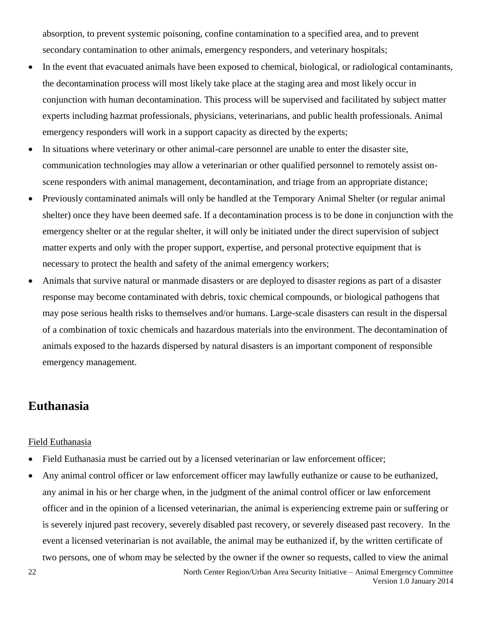absorption, to prevent systemic poisoning, confine contamination to a specified area, and to prevent secondary contamination to other animals, emergency responders, and veterinary hospitals;

- In the event that evacuated animals have been exposed to chemical, biological, or radiological contaminants, the decontamination process will most likely take place at the staging area and most likely occur in conjunction with human decontamination. This process will be supervised and facilitated by subject matter experts including hazmat professionals, physicians, veterinarians, and public health professionals. Animal emergency responders will work in a support capacity as directed by the experts;
- In situations where veterinary or other animal-care personnel are unable to enter the disaster site, communication technologies may allow a veterinarian or other qualified personnel to remotely assist onscene responders with animal management, decontamination, and triage from an appropriate distance;
- Previously contaminated animals will only be handled at the Temporary Animal Shelter (or regular animal shelter) once they have been deemed safe. If a decontamination process is to be done in conjunction with the emergency shelter or at the regular shelter, it will only be initiated under the direct supervision of subject matter experts and only with the proper support, expertise, and personal protective equipment that is necessary to protect the health and safety of the animal emergency workers;
- Animals that survive natural or manmade disasters or are deployed to disaster regions as part of a disaster response may become contaminated with debris, toxic chemical compounds, or biological pathogens that may pose serious health risks to themselves and/or humans. Large-scale disasters can result in the dispersal of a combination of toxic chemicals and hazardous materials into the environment. The decontamination of animals exposed to the hazards dispersed by natural disasters is an important component of responsible emergency management.

## <span id="page-21-0"></span>**Euthanasia**

#### Field Euthanasia

- Field Euthanasia must be carried out by a licensed veterinarian or law enforcement officer;
- Any animal control officer or law enforcement officer may lawfully euthanize or cause to be euthanized, any animal in his or her charge when, in the judgment of the animal control officer or law enforcement officer and in the opinion of a licensed veterinarian, the animal is experiencing extreme pain or suffering or is severely injured past recovery, severely disabled past recovery, or severely diseased past recovery. In the event a licensed veterinarian is not available, the animal may be euthanized if, by the written certificate of two persons, one of whom may be selected by the owner if the owner so requests, called to view the animal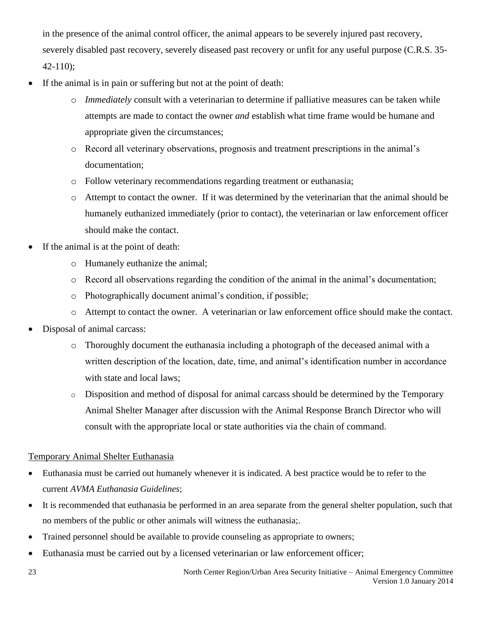in the presence of the animal control officer, the animal appears to be severely injured past recovery, severely disabled past recovery, severely diseased past recovery or unfit for any useful purpose (C.R.S. 35- 42-110);

- If the animal is in pain or suffering but not at the point of death:
	- o *Immediately* consult with a veterinarian to determine if palliative measures can be taken while attempts are made to contact the owner *and* establish what time frame would be humane and appropriate given the circumstances;
	- o Record all veterinary observations, prognosis and treatment prescriptions in the animal's documentation;
	- o Follow veterinary recommendations regarding treatment or euthanasia;
	- o Attempt to contact the owner. If it was determined by the veterinarian that the animal should be humanely euthanized immediately (prior to contact), the veterinarian or law enforcement officer should make the contact.
- If the animal is at the point of death:
	- o Humanely euthanize the animal;
	- o Record all observations regarding the condition of the animal in the animal's documentation;
	- o Photographically document animal's condition, if possible;
	- o Attempt to contact the owner. A veterinarian or law enforcement office should make the contact.
- Disposal of animal carcass:
	- o Thoroughly document the euthanasia including a photograph of the deceased animal with a written description of the location, date, time, and animal's identification number in accordance with state and local laws;
	- o Disposition and method of disposal for animal carcass should be determined by the Temporary Animal Shelter Manager after discussion with the Animal Response Branch Director who will consult with the appropriate local or state authorities via the chain of command.

#### Temporary Animal Shelter Euthanasia

- Euthanasia must be carried out humanely whenever it is indicated. A best practice would be to refer to the current *AVMA Euthanasia Guidelines*;
- It is recommended that euthanasia be performed in an area separate from the general shelter population, such that no members of the public or other animals will witness the euthanasia;.
- Trained personnel should be available to provide counseling as appropriate to owners;
- Euthanasia must be carried out by a licensed veterinarian or law enforcement officer;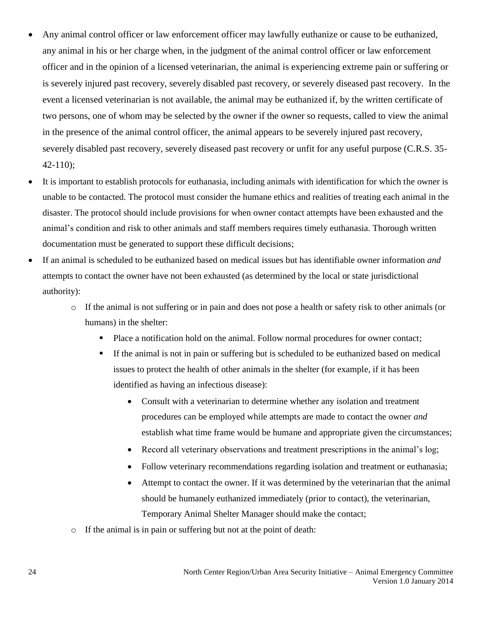- Any animal control officer or law enforcement officer may lawfully euthanize or cause to be euthanized, any animal in his or her charge when, in the judgment of the animal control officer or law enforcement officer and in the opinion of a licensed veterinarian, the animal is experiencing extreme pain or suffering or is severely injured past recovery, severely disabled past recovery, or severely diseased past recovery. In the event a licensed veterinarian is not available, the animal may be euthanized if, by the written certificate of two persons, one of whom may be selected by the owner if the owner so requests, called to view the animal in the presence of the animal control officer, the animal appears to be severely injured past recovery, severely disabled past recovery, severely diseased past recovery or unfit for any useful purpose (C.R.S. 35- 42-110);
- It is important to establish protocols for euthanasia, including animals with identification for which the owner is unable to be contacted. The protocol must consider the humane ethics and realities of treating each animal in the disaster. The protocol should include provisions for when owner contact attempts have been exhausted and the animal's condition and risk to other animals and staff members requires timely euthanasia. Thorough written documentation must be generated to support these difficult decisions;
- If an animal is scheduled to be euthanized based on medical issues but has identifiable owner information *and*  attempts to contact the owner have not been exhausted (as determined by the local or state jurisdictional authority):
	- o If the animal is not suffering or in pain and does not pose a health or safety risk to other animals (or humans) in the shelter:
		- Place a notification hold on the animal. Follow normal procedures for owner contact;
		- If the animal is not in pain or suffering but is scheduled to be euthanized based on medical issues to protect the health of other animals in the shelter (for example, if it has been identified as having an infectious disease):
			- Consult with a veterinarian to determine whether any isolation and treatment procedures can be employed while attempts are made to contact the owner *and*  establish what time frame would be humane and appropriate given the circumstances;
			- Record all veterinary observations and treatment prescriptions in the animal's log;
			- Follow veterinary recommendations regarding isolation and treatment or euthanasia;
			- Attempt to contact the owner. If it was determined by the veterinarian that the animal should be humanely euthanized immediately (prior to contact), the veterinarian, Temporary Animal Shelter Manager should make the contact;
	- o If the animal is in pain or suffering but not at the point of death: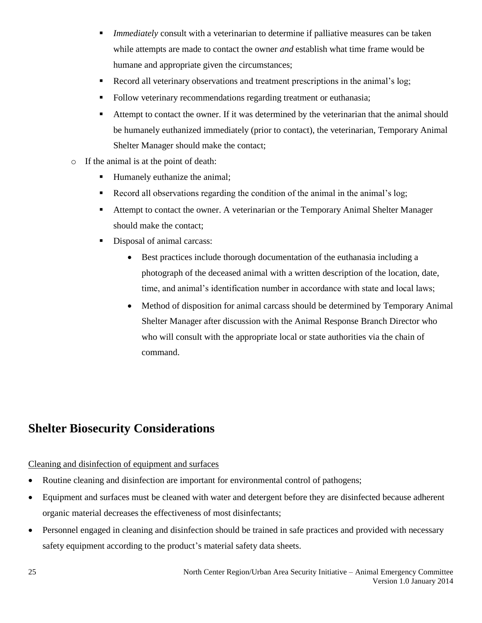- *Immediately* consult with a veterinarian to determine if palliative measures can be taken while attempts are made to contact the owner *and* establish what time frame would be humane and appropriate given the circumstances;
- Record all veterinary observations and treatment prescriptions in the animal's log;
- Follow veterinary recommendations regarding treatment or euthanasia;
- Attempt to contact the owner. If it was determined by the veterinarian that the animal should be humanely euthanized immediately (prior to contact), the veterinarian, Temporary Animal Shelter Manager should make the contact;
- o If the animal is at the point of death:
	- Humanely euthanize the animal;
	- Record all observations regarding the condition of the animal in the animal's log;
	- Attempt to contact the owner. A veterinarian or the Temporary Animal Shelter Manager should make the contact;
	- Disposal of animal carcass:
		- Best practices include thorough documentation of the euthanasia including a photograph of the deceased animal with a written description of the location, date, time, and animal's identification number in accordance with state and local laws;
		- Method of disposition for animal carcass should be determined by Temporary Animal Shelter Manager after discussion with the Animal Response Branch Director who who will consult with the appropriate local or state authorities via the chain of command.

## <span id="page-24-0"></span>**Shelter Biosecurity Considerations**

#### Cleaning and disinfection of equipment and surfaces

- Routine cleaning and disinfection are important for environmental control of pathogens;
- Equipment and surfaces must be cleaned with water and detergent before they are disinfected because adherent organic material decreases the effectiveness of most disinfectants;
- Personnel engaged in cleaning and disinfection should be trained in safe practices and provided with necessary safety equipment according to the product's material safety data sheets.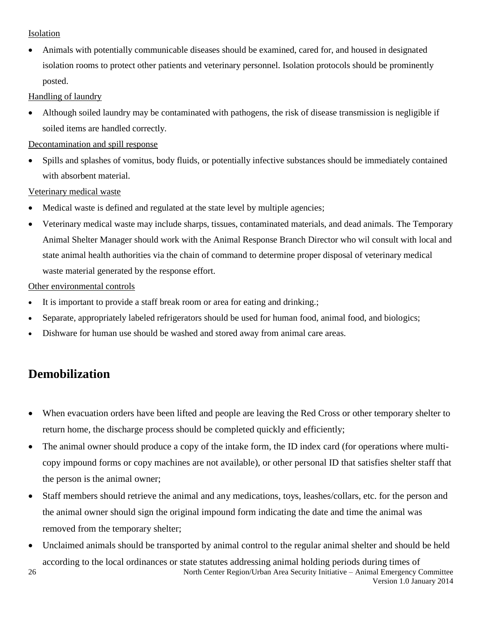#### **Isolation**

 Animals with potentially communicable diseases should be examined, cared for, and housed in designated isolation rooms to protect other patients and veterinary personnel. Isolation protocols should be prominently posted.

Handling of laundry

 Although soiled laundry may be contaminated with pathogens, the risk of disease transmission is negligible if soiled items are handled correctly.

Decontamination and spill response

 Spills and splashes of vomitus, body fluids, or potentially infective substances should be immediately contained with absorbent material.

Veterinary medical waste

- Medical waste is defined and regulated at the state level by multiple agencies;
- Veterinary medical waste may include sharps, tissues, contaminated materials, and dead animals. The Temporary Animal Shelter Manager should work with the Animal Response Branch Director who wil consult with local and state animal health authorities via the chain of command to determine proper disposal of veterinary medical waste material generated by the response effort.

Other environmental controls

- It is important to provide a staff break room or area for eating and drinking.;
- Separate, appropriately labeled refrigerators should be used for human food, animal food, and biologics;
- Dishware for human use should be washed and stored away from animal care areas.

## <span id="page-25-0"></span>**Demobilization**

- When evacuation orders have been lifted and people are leaving the Red Cross or other temporary shelter to return home, the discharge process should be completed quickly and efficiently;
- The animal owner should produce a copy of the intake form, the ID index card (for operations where multicopy impound forms or copy machines are not available), or other personal ID that satisfies shelter staff that the person is the animal owner;
- Staff members should retrieve the animal and any medications, toys, leashes/collars, etc. for the person and the animal owner should sign the original impound form indicating the date and time the animal was removed from the temporary shelter;
- North Center Region/Urban Area Security Initiative Animal Emergency Committee Unclaimed animals should be transported by animal control to the regular animal shelter and should be held according to the local ordinances or state statutes addressing animal holding periods during times of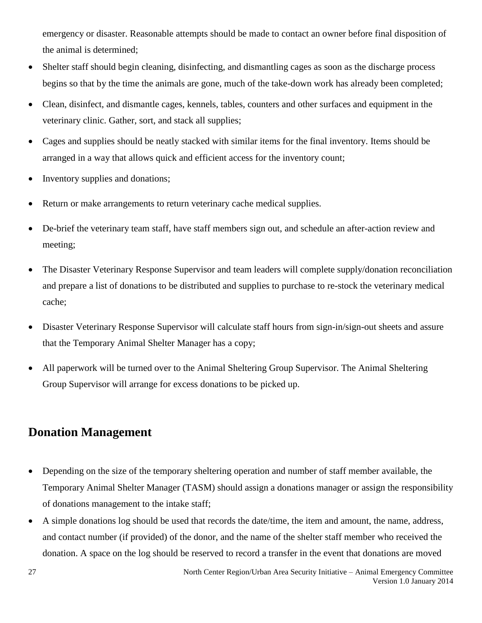emergency or disaster. Reasonable attempts should be made to contact an owner before final disposition of the animal is determined;

- Shelter staff should begin cleaning, disinfecting, and dismantling cages as soon as the discharge process begins so that by the time the animals are gone, much of the take-down work has already been completed;
- Clean, disinfect, and dismantle cages, kennels, tables, counters and other surfaces and equipment in the veterinary clinic. Gather, sort, and stack all supplies;
- Cages and supplies should be neatly stacked with similar items for the final inventory. Items should be arranged in a way that allows quick and efficient access for the inventory count;
- Inventory supplies and donations;
- Return or make arrangements to return veterinary cache medical supplies.
- De-brief the veterinary team staff, have staff members sign out, and schedule an after-action review and meeting;
- The Disaster Veterinary Response Supervisor and team leaders will complete supply/donation reconciliation and prepare a list of donations to be distributed and supplies to purchase to re-stock the veterinary medical cache;
- Disaster Veterinary Response Supervisor will calculate staff hours from sign-in/sign-out sheets and assure that the Temporary Animal Shelter Manager has a copy;
- All paperwork will be turned over to the Animal Sheltering Group Supervisor. The Animal Sheltering Group Supervisor will arrange for excess donations to be picked up.

## <span id="page-26-0"></span>**Donation Management**

- Depending on the size of the temporary sheltering operation and number of staff member available, the Temporary Animal Shelter Manager (TASM) should assign a donations manager or assign the responsibility of donations management to the intake staff;
- A simple donations log should be used that records the date/time, the item and amount, the name, address, and contact number (if provided) of the donor, and the name of the shelter staff member who received the donation. A space on the log should be reserved to record a transfer in the event that donations are moved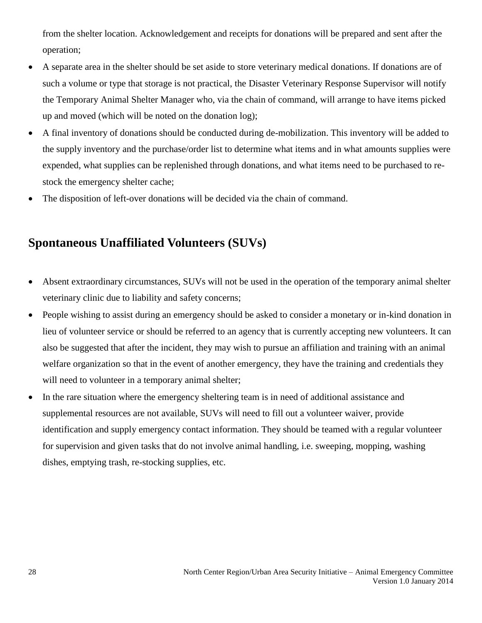from the shelter location. Acknowledgement and receipts for donations will be prepared and sent after the operation;

- A separate area in the shelter should be set aside to store veterinary medical donations. If donations are of such a volume or type that storage is not practical, the Disaster Veterinary Response Supervisor will notify the Temporary Animal Shelter Manager who, via the chain of command, will arrange to have items picked up and moved (which will be noted on the donation log);
- A final inventory of donations should be conducted during de-mobilization. This inventory will be added to the supply inventory and the purchase/order list to determine what items and in what amounts supplies were expended, what supplies can be replenished through donations, and what items need to be purchased to restock the emergency shelter cache;
- The disposition of left-over donations will be decided via the chain of command.

## <span id="page-27-0"></span>**Spontaneous Unaffiliated Volunteers (SUVs)**

- Absent extraordinary circumstances, SUVs will not be used in the operation of the temporary animal shelter veterinary clinic due to liability and safety concerns;
- People wishing to assist during an emergency should be asked to consider a monetary or in-kind donation in lieu of volunteer service or should be referred to an agency that is currently accepting new volunteers. It can also be suggested that after the incident, they may wish to pursue an affiliation and training with an animal welfare organization so that in the event of another emergency, they have the training and credentials they will need to volunteer in a temporary animal shelter;
- In the rare situation where the emergency sheltering team is in need of additional assistance and supplemental resources are not available, SUVs will need to fill out a volunteer waiver, provide identification and supply emergency contact information. They should be teamed with a regular volunteer for supervision and given tasks that do not involve animal handling, i.e. sweeping, mopping, washing dishes, emptying trash, re-stocking supplies, etc.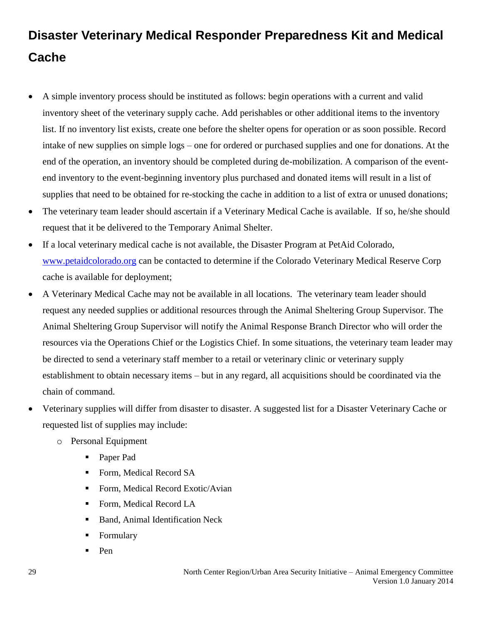## <span id="page-28-0"></span>**Disaster Veterinary Medical Responder Preparedness Kit and Medical Cache**

- A simple inventory process should be instituted as follows: begin operations with a current and valid inventory sheet of the veterinary supply cache. Add perishables or other additional items to the inventory list. If no inventory list exists, create one before the shelter opens for operation or as soon possible. Record intake of new supplies on simple logs – one for ordered or purchased supplies and one for donations. At the end of the operation, an inventory should be completed during de-mobilization. A comparison of the eventend inventory to the event-beginning inventory plus purchased and donated items will result in a list of supplies that need to be obtained for re-stocking the cache in addition to a list of extra or unused donations;
- The veterinary team leader should ascertain if a Veterinary Medical Cache is available. If so, he/she should request that it be delivered to the Temporary Animal Shelter.
- If a local veterinary medical cache is not available, the Disaster Program at PetAid Colorado, [www.petaidcolorado.org](http://www.petaidcolorado.org/) can be contacted to determine if the Colorado Veterinary Medical Reserve Corp cache is available for deployment;
- A Veterinary Medical Cache may not be available in all locations. The veterinary team leader should request any needed supplies or additional resources through the Animal Sheltering Group Supervisor. The Animal Sheltering Group Supervisor will notify the Animal Response Branch Director who will order the resources via the Operations Chief or the Logistics Chief. In some situations, the veterinary team leader may be directed to send a veterinary staff member to a retail or veterinary clinic or veterinary supply establishment to obtain necessary items – but in any regard, all acquisitions should be coordinated via the chain of command.
- Veterinary supplies will differ from disaster to disaster. A suggested list for a Disaster Veterinary Cache or requested list of supplies may include:
	- o Personal Equipment
		- Paper Pad
		- Form, Medical Record SA
		- Form, Medical Record Exotic/Avian
		- Form, Medical Record LA
		- **Band, Animal Identification Neck**
		- **Formulary**
		- Pen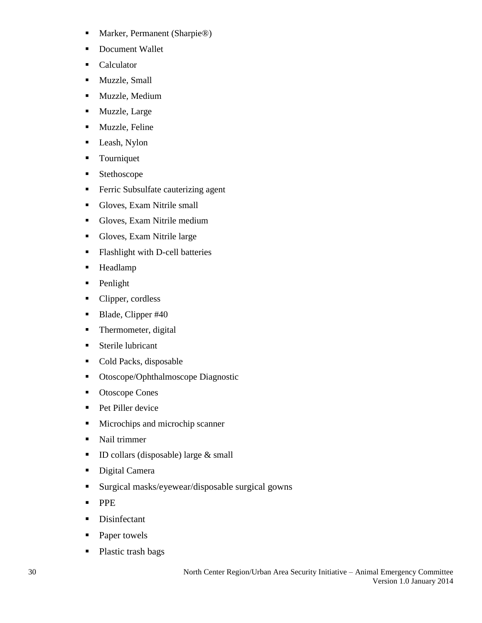- Marker, Permanent (Sharpie®)
- Document Wallet
- **Calculator**
- **Muzzle**, Small
- **Muzzle**, Medium
- **Muzzle**, Large
- **Muzzle**, Feline
- **Leash, Nylon**
- **Tourniquet**
- **Stethoscope**
- **Ferric Subsulfate cauterizing agent**
- Gloves, Exam Nitrile small
- Gloves, Exam Nitrile medium
- Gloves, Exam Nitrile large
- **Flashlight with D-cell batteries**
- **Headlamp**
- Penlight
- Clipper, cordless
- Blade, Clipper #40
- Thermometer, digital
- **Sterile lubricant**
- Cold Packs, disposable
- Otoscope/Ophthalmoscope Diagnostic
- Otoscope Cones
- Pet Piller device
- **Microchips and microchip scanner**
- Nail trimmer
- $\blacksquare$  ID collars (disposable) large & small
- Digital Camera
- Surgical masks/eyewear/disposable surgical gowns
- **PPE**
- **Disinfectant**
- Paper towels
- Plastic trash bags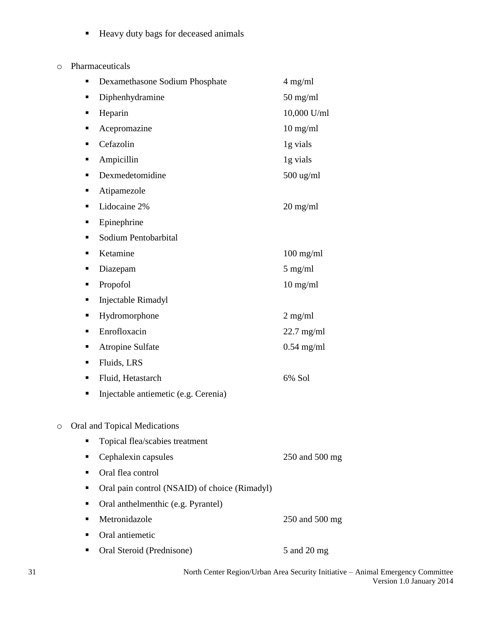- Heavy duty bags for deceased animals
- o Pharmaceuticals

|         | ٠ | Dexamethasone Sodium Phosphate                | $4$ mg/ml      |
|---------|---|-----------------------------------------------|----------------|
|         | ٠ | Diphenhydramine                               | $50$ mg/ml     |
|         | ٠ | Heparin                                       | 10,000 U/ml    |
|         | ٠ | Acepromazine                                  | $10$ mg/ml     |
|         | ٠ | Cefazolin                                     | 1g vials       |
|         | ٠ | Ampicillin                                    | 1g vials       |
|         | ٠ | Dexmedetomidine                               | 500 ug/ml      |
|         | ٠ | Atipamezole                                   |                |
|         | ٠ | Lidocaine 2%                                  | $20$ mg/ml     |
|         | п | Epinephrine                                   |                |
|         | ٠ | Sodium Pentobarbital                          |                |
|         | ٠ | Ketamine                                      | $100$ mg/ml    |
|         | ٠ | Diazepam                                      | $5$ mg/ml      |
|         | ٠ | Propofol                                      | $10$ mg/ml     |
|         | ٠ | Injectable Rimadyl                            |                |
|         | п | Hydromorphone                                 | $2$ mg/ml      |
|         | ٠ | Enrofloxacin                                  | $22.7$ mg/ml   |
|         | ٠ | <b>Atropine Sulfate</b>                       | $0.54$ mg/ml   |
|         | ٠ | Fluids, LRS                                   |                |
|         | ٠ | Fluid, Hetastarch                             | 6% Sol         |
|         | п | Injectable antiemetic (e.g. Cerenia)          |                |
| $\circ$ |   | Oral and Topical Medications                  |                |
|         | ٠ | Topical flea/scabies treatment                |                |
|         | п | Cephalexin capsules                           | 250 and 500 mg |
|         | ٠ | Oral flea control                             |                |
|         | ٠ | Oral pain control (NSAID) of choice (Rimadyl) |                |
|         | ٠ | Oral anthelmenthic (e.g. Pyrantel)            |                |
|         | ٠ | Metronidazole                                 | 250 and 500 mg |
|         | ٠ | Oral antiemetic                               |                |
|         | п | Oral Steroid (Prednisone)                     | 5 and 20 mg    |
|         |   |                                               |                |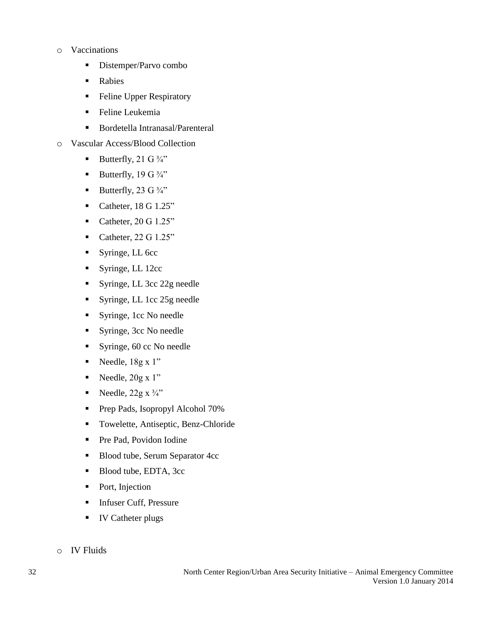#### o Vaccinations

- Distemper/Parvo combo
- **Rabies**
- **Feline Upper Respiratory**
- **Feline Leukemia**
- Bordetella Intranasal/Parenteral
- o Vascular Access/Blood Collection
	- Butterfly, 21 G  $\frac{3}{4}$ "
	- Butterfly, 19 G  $\frac{3}{4}$ "
	- Butterfly, 23 G  $\frac{3}{4}$ "
	- Catheter,  $18 \text{ G } 1.25$ "
	- Catheter,  $20 \text{ G } 1.25$ "
	- Catheter,  $22 \text{ G } 1.25$ "
	- Syringe, LL 6cc
	- Syringe, LL 12cc
	- Syringe, LL 3cc 22g needle
	- Syringe, LL 1cc 25g needle
	- Syringe, 1cc No needle
	- Syringe, 3cc No needle
	- Syringe, 60 cc No needle
	- Needle,  $18g \times 1"$
	- Needle,  $20g \times 1$ "
	- Needle,  $22g \times \frac{3}{4}$ "
	- **Prep Pads, Isopropyl Alcohol 70%**
	- Towelette, Antiseptic, Benz-Chloride
	- Pre Pad, Povidon Iodine
	- Blood tube, Serum Separator 4cc
	- Blood tube, EDTA, 3cc
	- Port, Injection
	- **Infuser Cuff, Pressure**
	- **IV Catheter plugs**
- o IV Fluids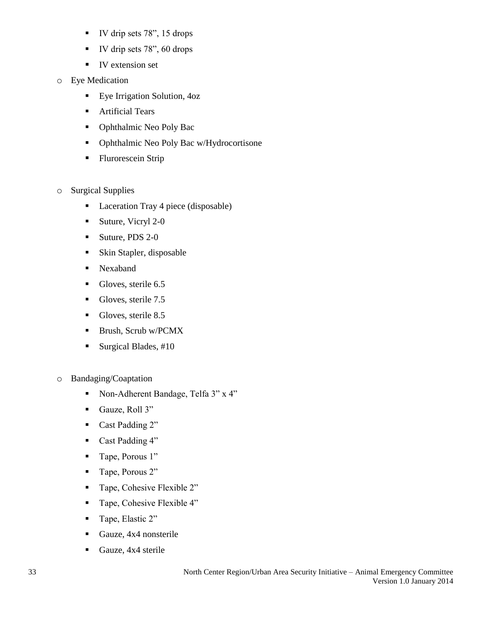- IV drip sets 78", 15 drops
- $\blacksquare$  IV drip sets 78", 60 drops
- **IV** extension set
- o Eye Medication
	- **Eye Irrigation Solution, 4oz**
	- **Artificial Tears**
	- Ophthalmic Neo Poly Bac
	- Ophthalmic Neo Poly Bac w/Hydrocortisone
	- **Flurorescein Strip**
- o Surgical Supplies
	- Laceration Tray 4 piece (disposable)
	- $\blacksquare$  Suture, Vicryl 2-0
	- Suture, PDS 2-0
	- **Skin Stapler, disposable**
	- **Nexaband**
	- Gloves, sterile 6.5
	- Gloves, sterile 7.5
	- Gloves, sterile 8.5
	- Brush, Scrub w/PCMX
	- Surgical Blades,  $#10$
- o Bandaging/Coaptation
	- Non-Adherent Bandage, Telfa 3" x 4"
	- Gauze, Roll 3"
	- Cast Padding 2"
	- Cast Padding 4"
	- Tape, Porous 1"
	- Tape, Porous 2"
	- Tape, Cohesive Flexible 2"
	- Tape, Cohesive Flexible 4"
	- Tape, Elastic 2"
	- Gauze, 4x4 nonsterile
	- Gauze, 4x4 sterile